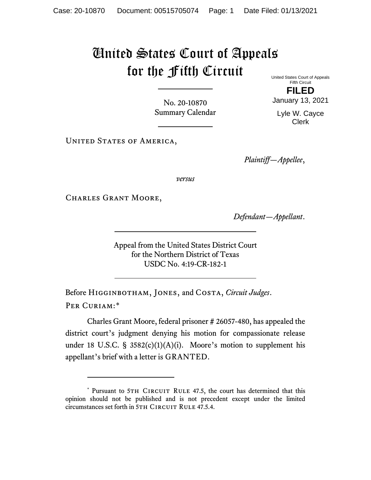## United States Court of Appeals for the Fifth Circuit

No. 20-10870 Summary Calendar United States Court of Appeals Fifth Circuit

**FILED** January 13, 2021

Lyle W. Cayce Clerk

UNITED STATES OF AMERICA,

*Plaintiff—Appellee*,

*versus*

Charles Grant Moore,

*Defendant—Appellant*.

Appeal from the United States District Court for the Northern District of Texas USDC No. 4:19-CR-182-1

Before Higginbotham, Jones, and Costa, *Circuit Judges*. Per Curiam:[\\*](#page-0-0)

Charles Grant Moore, federal prisoner # 26057-480, has appealed the district court's judgment denying his motion for compassionate release under 18 U.S.C. §  $3582(c)(1)(A)(i)$ . Moore's motion to supplement his appellant's brief with a letter is GRANTED.

<span id="page-0-0"></span><sup>\*</sup> Pursuant to 5TH CIRCUIT RULE 47.5, the court has determined that this opinion should not be published and is not precedent except under the limited circumstances set forth in 5TH CIRCUIT RULE 47.5.4.